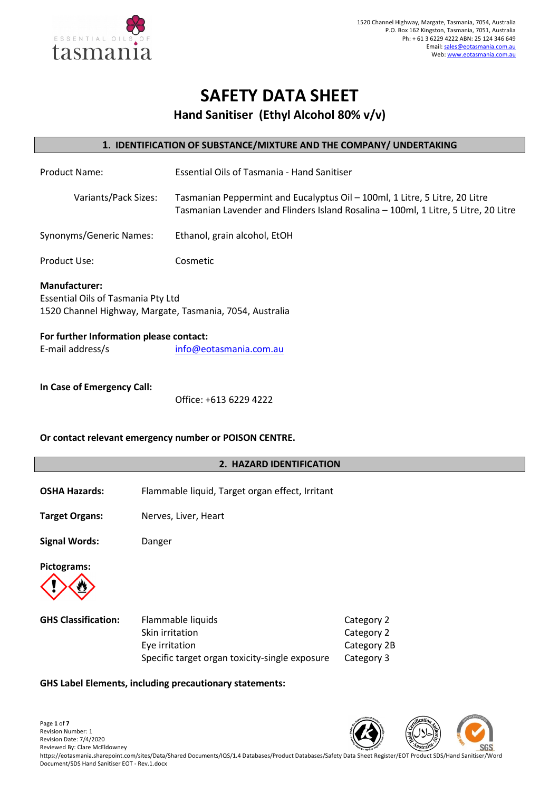

# **SAFETY DATA SHEET**

**Hand Sanitiser (Ethyl Alcohol 80% v/v)**

# **1. IDENTIFICATION OF SUBSTANCE/MIXTURE AND THE COMPANY/ UNDERTAKING**

| <b>Product Name:</b>                                                                                                          | Essential Oils of Tasmania - Hand Sanitiser                                                                                                                        |  |  |
|-------------------------------------------------------------------------------------------------------------------------------|--------------------------------------------------------------------------------------------------------------------------------------------------------------------|--|--|
| Variants/Pack Sizes:                                                                                                          | Tasmanian Peppermint and Eucalyptus Oil – 100ml, 1 Litre, 5 Litre, 20 Litre<br>Tasmanian Lavender and Flinders Island Rosalina - 100ml, 1 Litre, 5 Litre, 20 Litre |  |  |
| Synonyms/Generic Names:                                                                                                       | Ethanol, grain alcohol, EtOH                                                                                                                                       |  |  |
| Product Use:                                                                                                                  | Cosmetic                                                                                                                                                           |  |  |
| <b>Manufacturer:</b><br><b>Essential Oils of Tasmania Pty Ltd</b><br>1520 Channel Highway, Margate, Tasmania, 7054, Australia |                                                                                                                                                                    |  |  |
| For further Information please contact:                                                                                       |                                                                                                                                                                    |  |  |

| E-mail address/s | info@eotasmania.com.au |
|------------------|------------------------|

# **In Case of Emergency Call:**

Office: +613 6229 4222

# **Or contact relevant emergency number or POISON CENTRE.**

# **2. HAZARD IDENTIFICATION**

- **OSHA Hazards:** Flammable liquid, Target organ effect, Irritant
- **Target Organs:** Nerves, Liver, Heart
- **Signal Words:** Danger

**Pictograms:** 



| <b>GHS Classification:</b> | Flammable liquids                              | Category 2  |
|----------------------------|------------------------------------------------|-------------|
|                            | Skin irritation                                | Category 2  |
|                            | Eve irritation                                 | Category 2B |
|                            | Specific target organ toxicity-single exposure | Category 3  |

# **GHS Label Elements, including precautionary statements:**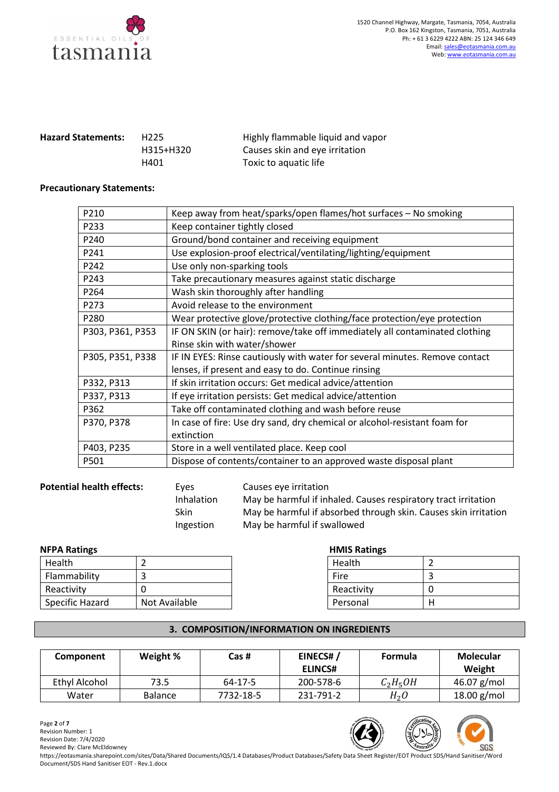

| <b>Hazard Statements:</b> | H <sub>225</sub> | Highly flammable liquid and vapor |
|---------------------------|------------------|-----------------------------------|
|                           | H315+H320        | Causes skin and eye irritation    |
|                           | H401             | Toxic to aquatic life             |

#### **Precautionary Statements:**

| P210             | Keep away from heat/sparks/open flames/hot surfaces - No smoking            |
|------------------|-----------------------------------------------------------------------------|
| P233             | Keep container tightly closed                                               |
| P240             | Ground/bond container and receiving equipment                               |
| P241             | Use explosion-proof electrical/ventilating/lighting/equipment               |
| P242             | Use only non-sparking tools                                                 |
| P243             | Take precautionary measures against static discharge                        |
| P264             | Wash skin thoroughly after handling                                         |
| P273             | Avoid release to the environment                                            |
| P280             | Wear protective glove/protective clothing/face protection/eye protection    |
| P303, P361, P353 | IF ON SKIN (or hair): remove/take off immediately all contaminated clothing |
|                  | Rinse skin with water/shower                                                |
| P305, P351, P338 | IF IN EYES: Rinse cautiously with water for several minutes. Remove contact |
|                  | lenses, if present and easy to do. Continue rinsing                         |
| P332, P313       | If skin irritation occurs: Get medical advice/attention                     |
| P337, P313       | If eye irritation persists: Get medical advice/attention                    |
| P362             | Take off contaminated clothing and wash before reuse                        |
| P370, P378       | In case of fire: Use dry sand, dry chemical or alcohol-resistant foam for   |
|                  | extinction                                                                  |
| P403, P235       | Store in a well ventilated place. Keep cool                                 |
| P501             | Dispose of contents/container to an approved waste disposal plant           |

### **Potential health effects:** Eyes Causes eye irritation

 Inhalation May be harmful if inhaled. Causes respiratory tract irritation Skin May be harmful if absorbed through skin. Causes skin irritation Ingestion May be harmful if swallowed

# **NFPA Ratings HMIS Ratings HMIS Ratings**

| Health          |               | Health     |   |
|-----------------|---------------|------------|---|
| Flammability    |               | Fire       |   |
| Reactivity      |               | Reactivity | 0 |
| Specific Hazard | Not Available | Personal   | H |
|                 |               |            |   |

| Health     |  |
|------------|--|
| Fire       |  |
| Reactivity |  |
| Personal   |  |

### **3. COMPOSITION/INFORMATION ON INGREDIENTS**

| Component     | Weight %       | Cas #     | EINECS#/<br><b>ELINCS#</b> | <b>Formula</b>   | Molecular<br>Weight |
|---------------|----------------|-----------|----------------------------|------------------|---------------------|
| Ethyl Alcohol | 73.5           | 64-17-5   | 200-578-6                  | $C_2H_5OH$       | 46.07 $g/mol$       |
| Water         | <b>Balance</b> | 7732-18-5 | 231-791-2                  | H <sub>2</sub> O | 18.00 g/mol         |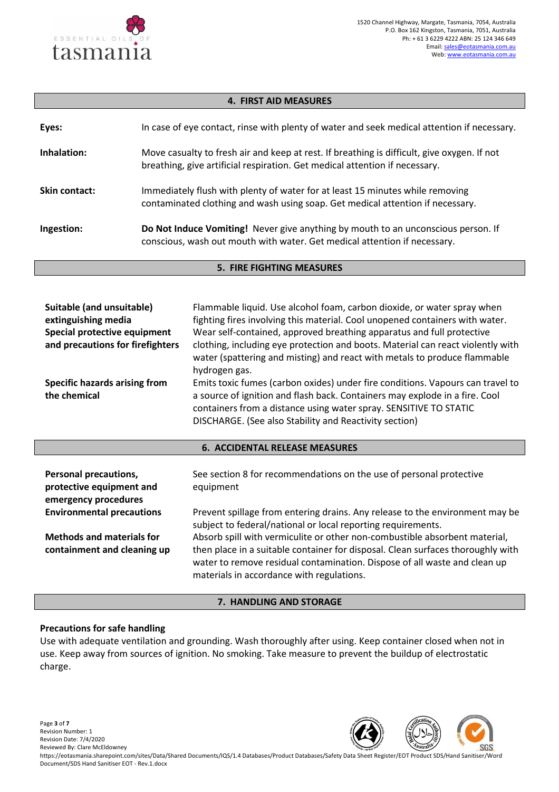

## **4. FIRST AID MEASURES**

| Eyes:                | In case of eye contact, rinse with plenty of water and seek medical attention if necessary.                                                                                |
|----------------------|----------------------------------------------------------------------------------------------------------------------------------------------------------------------------|
| Inhalation:          | Move casualty to fresh air and keep at rest. If breathing is difficult, give oxygen. If not<br>breathing, give artificial respiration. Get medical attention if necessary. |
| <b>Skin contact:</b> | Immediately flush with plenty of water for at least 15 minutes while removing<br>contaminated clothing and wash using soap. Get medical attention if necessary.            |
| Ingestion:           | Do Not Induce Vomiting! Never give anything by mouth to an unconscious person. If<br>conscious, wash out mouth with water. Get medical attention if necessary.             |

#### **5. FIRE FIGHTING MEASURES**

| Suitable (and unsuitable)<br>extinguishing media | Flammable liquid. Use alcohol foam, carbon dioxide, or water spray when<br>fighting fires involving this material. Cool unopened containers with water.                                                    |
|--------------------------------------------------|------------------------------------------------------------------------------------------------------------------------------------------------------------------------------------------------------------|
| Special protective equipment                     | Wear self-contained, approved breathing apparatus and full protective                                                                                                                                      |
| and precautions for firefighters                 | clothing, including eye protection and boots. Material can react violently with<br>water (spattering and misting) and react with metals to produce flammable<br>hydrogen gas.                              |
| Specific hazards arising from                    | Emits toxic fumes (carbon oxides) under fire conditions. Vapours can travel to                                                                                                                             |
| the chemical                                     | a source of ignition and flash back. Containers may explode in a fire. Cool<br>containers from a distance using water spray. SENSITIVE TO STATIC<br>DISCHARGE. (See also Stability and Reactivity section) |

#### **6. ACCIDENTAL RELEASE MEASURES**

| <b>Personal precautions,</b><br>protective equipment and<br>emergency procedures | See section 8 for recommendations on the use of personal protective<br>equipment                                                                                                                                                                                                        |
|----------------------------------------------------------------------------------|-----------------------------------------------------------------------------------------------------------------------------------------------------------------------------------------------------------------------------------------------------------------------------------------|
| <b>Environmental precautions</b>                                                 | Prevent spillage from entering drains. Any release to the environment may be<br>subject to federal/national or local reporting requirements.                                                                                                                                            |
| <b>Methods and materials for</b><br>containment and cleaning up                  | Absorb spill with vermiculite or other non-combustible absorbent material,<br>then place in a suitable container for disposal. Clean surfaces thoroughly with<br>water to remove residual contamination. Dispose of all waste and clean up<br>materials in accordance with regulations. |

#### **7. HANDLING AND STORAGE**

# **Precautions for safe handling**

Use with adequate ventilation and grounding. Wash thoroughly after using. Keep container closed when not in use. Keep away from sources of ignition. No smoking. Take measure to prevent the buildup of electrostatic charge.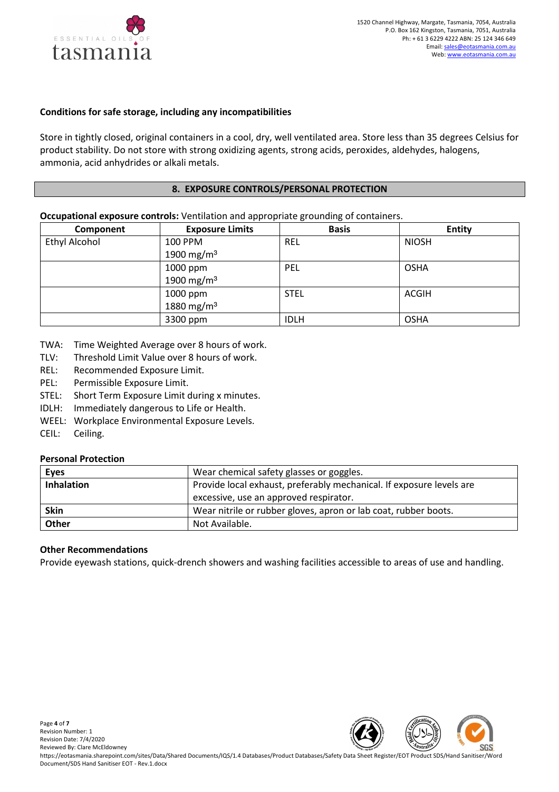

# **Conditions for safe storage, including any incompatibilities**

Store in tightly closed, original containers in a cool, dry, well ventilated area. Store less than 35 degrees Celsius for product stability. Do not store with strong oxidizing agents, strong acids, peroxides, aldehydes, halogens, ammonia, acid anhydrides or alkali metals.

#### **8. EXPOSURE CONTROLS/PERSONAL PROTECTION**

#### **Occupational exposure controls:** Ventilation and appropriate grounding of containers.

| Component            | <b>Exposure Limits</b> | <b>Basis</b> | <b>Entity</b> |
|----------------------|------------------------|--------------|---------------|
| <b>Ethyl Alcohol</b> | 100 PPM                | <b>REL</b>   | <b>NIOSH</b>  |
|                      | 1900 mg/m <sup>3</sup> |              |               |
|                      | 1000 ppm               | PEL          | <b>OSHA</b>   |
|                      | 1900 mg/m $3$          |              |               |
|                      | 1000 ppm               | <b>STEL</b>  | <b>ACGIH</b>  |
|                      | 1880 mg/m $3$          |              |               |
|                      | 3300 ppm               | <b>IDLH</b>  | <b>OSHA</b>   |

- TWA: Time Weighted Average over 8 hours of work.
- TLV: Threshold Limit Value over 8 hours of work.
- REL: Recommended Exposure Limit.
- PEL: Permissible Exposure Limit.
- STEL: Short Term Exposure Limit during x minutes.
- IDLH: Immediately dangerous to Life or Health.
- WEEL: Workplace Environmental Exposure Levels.
- CEIL: Ceiling.

# **Personal Protection**

| <b>Eyes</b>       | Wear chemical safety glasses or goggles.                             |
|-------------------|----------------------------------------------------------------------|
| <b>Inhalation</b> | Provide local exhaust, preferably mechanical. If exposure levels are |
|                   | excessive, use an approved respirator.                               |
| <b>Skin</b>       | Wear nitrile or rubber gloves, apron or lab coat, rubber boots.      |
| Other             | Not Available.                                                       |

# **Other Recommendations**

Provide eyewash stations, quick-drench showers and washing facilities accessible to areas of use and handling.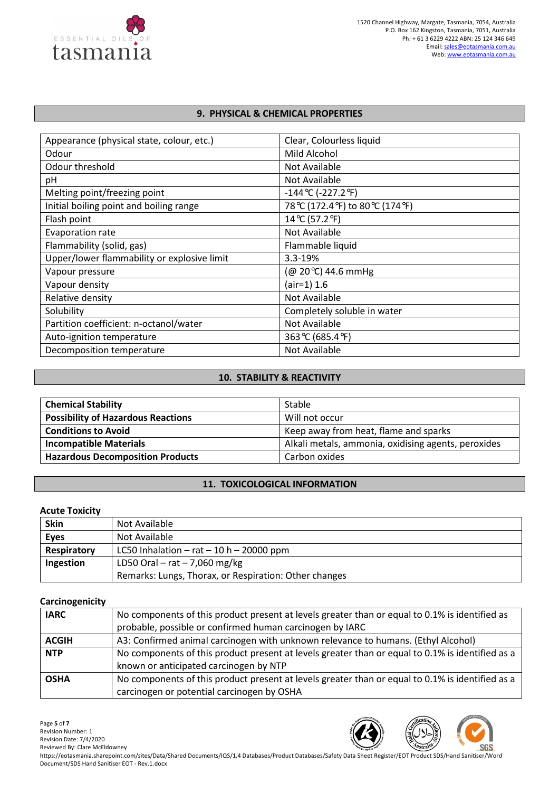

### **9. PHYSICAL & CHEMICAL PROPERTIES**

| Appearance (physical state, colour, etc.)   | Clear, Colourless liquid           |
|---------------------------------------------|------------------------------------|
| Odour                                       | Mild Alcohol                       |
| Odour threshold                             | Not Available                      |
| рH                                          | Not Available                      |
| Melting point/freezing point                | $-144$ °C (-227.2 °F)              |
| Initial boiling point and boiling range     | 78 °C (172.4 °F) to 80 °C (174 °F) |
| Flash point                                 | 14 °C (57.2 °F)                    |
| Evaporation rate                            | Not Available                      |
| Flammability (solid, gas)                   | Flammable liquid                   |
| Upper/lower flammability or explosive limit | 3.3-19%                            |
| Vapour pressure                             | (@ 20℃) 44.6 mmHg                  |
| Vapour density                              | $air=1) 1.6$                       |
| Relative density                            | Not Available                      |
| Solubility                                  | Completely soluble in water        |
| Partition coefficient: n-octanol/water      | Not Available                      |
| Auto-ignition temperature                   | 363 °C (685.4 °F)                  |
| Decomposition temperature                   | Not Available                      |

### **10. STABILITY & REACTIVITY**

| <b>Chemical Stability</b>                 | Stable                                              |
|-------------------------------------------|-----------------------------------------------------|
| <b>Possibility of Hazardous Reactions</b> | Will not occur                                      |
| <b>Conditions to Avoid</b>                | Keep away from heat, flame and sparks               |
| <b>Incompatible Materials</b>             | Alkali metals, ammonia, oxidising agents, peroxides |
| <b>Hazardous Decomposition Products</b>   | Carbon oxides                                       |

# **11. TOXICOLOGICAL INFORMATION**

# **Acute Toxicity**

| <b>Skin</b> | Not Available                                         |
|-------------|-------------------------------------------------------|
| <b>Eyes</b> | Not Available                                         |
| Respiratory | LC50 Inhalation $-$ rat $-$ 10 h $-$ 20000 ppm        |
| Ingestion   | LD50 Oral $-$ rat $-$ 7,060 mg/kg                     |
|             | Remarks: Lungs, Thorax, or Respiration: Other changes |

#### **Carcinogenicity**

| <u>sa: s:::sas:::s::;</u> |                                                                                                                                                            |
|---------------------------|------------------------------------------------------------------------------------------------------------------------------------------------------------|
| <b>IARC</b>               | No components of this product present at levels greater than or equal to 0.1% is identified as<br>probable, possible or confirmed human carcinogen by IARC |
| <b>ACGIH</b>              | A3: Confirmed animal carcinogen with unknown relevance to humans. (Ethyl Alcohol)                                                                          |
| <b>NTP</b>                | No components of this product present at levels greater than or equal to 0.1% is identified as a<br>known or anticipated carcinogen by NTP                 |
| <b>OSHA</b>               | No components of this product present at levels greater than or equal to 0.1% is identified as a<br>carcinogen or potential carcinogen by OSHA             |

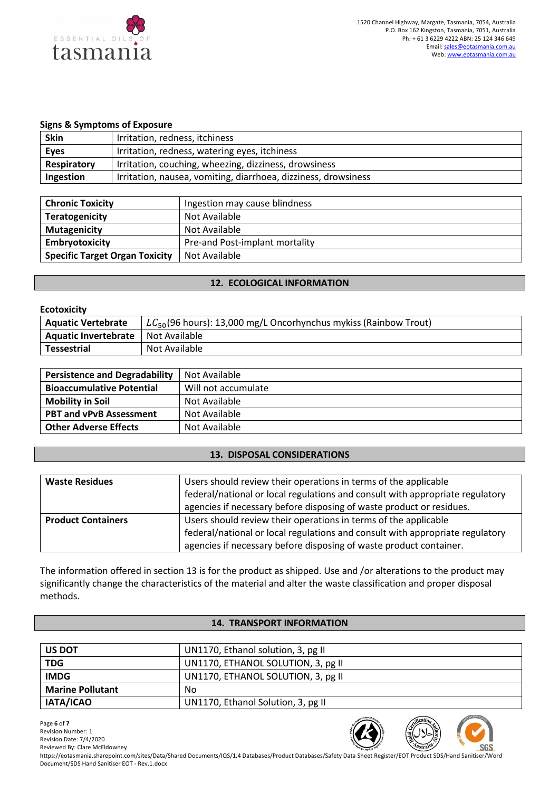

#### **Signs & Symptoms of Exposure**

| <b>Skin</b> | Irritation, redness, itchiness                                 |
|-------------|----------------------------------------------------------------|
| <b>Eyes</b> | Irritation, redness, watering eyes, itchiness                  |
| Respiratory | Irritation, couching, wheezing, dizziness, drowsiness          |
| Ingestion   | Irritation, nausea, vomiting, diarrhoea, dizziness, drowsiness |

| <b>Chronic Toxicity</b>               | Ingestion may cause blindness  |
|---------------------------------------|--------------------------------|
| <b>Teratogenicity</b>                 | Not Available                  |
| <b>Mutagenicity</b>                   | Not Available                  |
| Embryotoxicity                        | Pre-and Post-implant mortality |
| <b>Specific Target Organ Toxicity</b> | Not Available                  |

#### **12. ECOLOGICAL INFORMATION**

| <b>Ecotoxicity</b>          |                                                                       |  |
|-----------------------------|-----------------------------------------------------------------------|--|
| <b>Aquatic Vertebrate</b>   | $LC_{50}$ (96 hours): 13,000 mg/L Oncorhynchus mykiss (Rainbow Trout) |  |
| <b>Aquatic Invertebrate</b> | l Not Available                                                       |  |
| <b>Tessestrial</b>          | Not Available                                                         |  |

| <b>Persistence and Degradability</b> | Not Available       |
|--------------------------------------|---------------------|
| <b>Bioaccumulative Potential</b>     | Will not accumulate |
| <b>Mobility in Soil</b>              | Not Available       |
| <b>PBT and vPvB Assessment</b>       | Not Available       |
| <b>Other Adverse Effects</b>         | Not Available       |

### **13. DISPOSAL CONSIDERATIONS**

| <b>Waste Residues</b>     | Users should review their operations in terms of the applicable               |
|---------------------------|-------------------------------------------------------------------------------|
|                           | federal/national or local regulations and consult with appropriate regulatory |
|                           | agencies if necessary before disposing of waste product or residues.          |
| <b>Product Containers</b> | Users should review their operations in terms of the applicable               |
|                           | federal/national or local regulations and consult with appropriate regulatory |
|                           | agencies if necessary before disposing of waste product container.            |

The information offered in section 13 is for the product as shipped. Use and /or alterations to the product may significantly change the characteristics of the material and alter the waste classification and proper disposal methods.

## **14. TRANSPORT INFORMATION**

| <b>US DOT</b>           | UN1170, Ethanol solution, 3, pg II |
|-------------------------|------------------------------------|
| <b>TDG</b>              | UN1170, ETHANOL SOLUTION, 3, pg II |
| <b>IMDG</b>             | UN1170, ETHANOL SOLUTION, 3, pg II |
| <b>Marine Pollutant</b> | No                                 |
| IATA/ICAO               | UN1170, Ethanol Solution, 3, pg II |